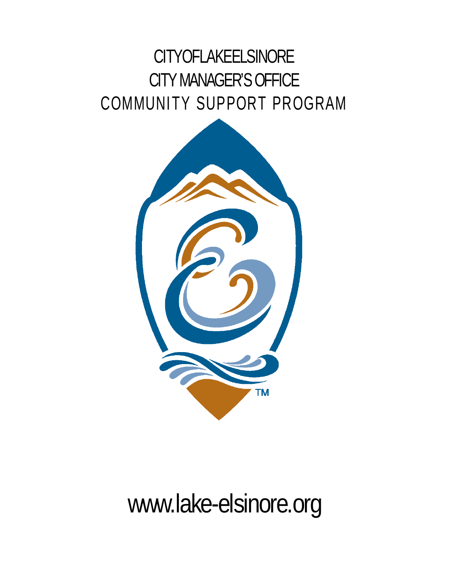## **CITYOFLAKEELSINORE** CITY MANAGER'S OFFICE COMMUNITY SUPPORT PROGRAM



# [www.lake-elsinore.org](http://www.lake-elsinore.org/specialevents)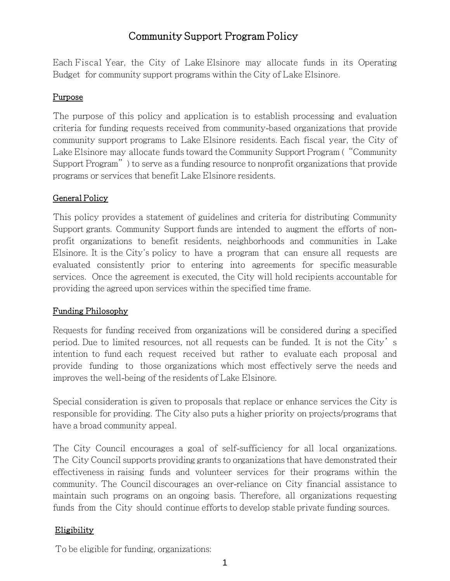### Community Support Program Policy

Each Fiscal Year, the City of Lake Elsinore may allocate funds in its Operating Budget for community support programs within the City of Lake Elsinore.

#### Purpose

The purpose of this policy and application is to establish processing and evaluation criteria for funding requests received from community-based organizations that provide community support programs to Lake Elsinore residents. Each fiscal year, the City of Lake Elsinore may allocate funds toward the Community Support Program ("Community Support Program") to serve as a funding resource to nonprofit organizations that provide programs or services that benefit Lake Elsinore residents.

#### General Policy

This policy provides a statement of guidelines and criteria for distributing Community Support grants. Community Support funds are intended to augment the efforts of nonprofit organizations to benefit residents, neighborhoods and communities in Lake Elsinore. It is the City's policy to have a program that can ensure all requests are evaluated consistently prior to entering into agreements for specific measurable services. Once the agreement is executed, the City will hold recipients accountable for providing the agreed upon services within the specified time frame.

#### Funding Philosophy

Requests for funding received from organizations will be considered during a specified period. Due to limited resources, not all requests can be funded. It is not the City's intention to fund each request received but rather to evaluate each proposal and provide funding to those organizations which most effectively serve the needs and improves the well-being of the residents of Lake Elsinore.

Special consideration is given to proposals that replace or enhance services the City is responsible for providing. The City also puts a higher priority on projects/programs that have a broad community appeal.

The City Council encourages a goal of self-sufficiency for all local organizations. The City Council supports providing grants to organizations that have demonstrated their effectiveness in raising funds and volunteer services for their programs within the community. The Council discourages an over-reliance on City financial assistance to maintain such programs on an ongoing basis. Therefore, all organizations requesting funds from the City should continue efforts to develop stable private funding sources.

#### **Eligibility**

To be eligible for funding, organizations: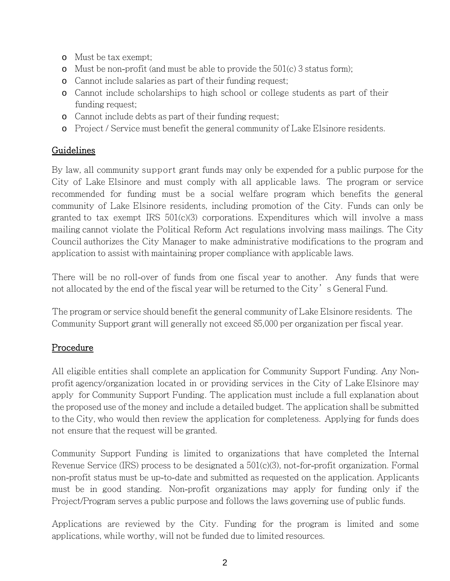- o Must be tax exempt;
- o Must be non-profit (and must be able to provide the  $501(c)$  3 status form);
- o Cannot include salaries as part of their funding request;
- o Cannot include scholarships to high school or college students as part of their funding request;
- o Cannot include debts as part of their funding request;
- o Project / Service must benefit the general community of Lake Elsinore residents.

#### Guidelines

By law, all community support grant funds may only be expended for a public purpose for the City of Lake Elsinore and must comply with all applicable laws. The program or service recommended for funding must be a social welfare program which benefits the general community of Lake Elsinore residents, including promotion of the City. Funds can only be granted to tax exempt IRS 501(c)(3) corporations. Expenditures which will involve a mass mailing cannot violate the Political Reform Act regulations involving mass mailings. The City Council authorizes the City Manager to make administrative modifications to the program and application to assist with maintaining proper compliance with applicable laws.

There will be no roll-over of funds from one fiscal year to another. Any funds that were not allocated by the end of the fiscal year will be returned to the City's General Fund.

The program or service should benefit the general community of Lake Elsinore residents. The Community Support grant will generally not exceed \$5,000 per organization per fiscal year.

#### Procedure

All eligible entities shall complete an application for Community Support Funding. Any Nonprofit agency/organization located in or providing services in the City of Lake Elsinore may apply for Community Support Funding. The application must include a full explanation about the proposed use of the money and include a detailed budget. The application shall be submitted to the City, who would then review the application for completeness. Applying for funds does not ensure that the request will be granted.

Community Support Funding is limited to organizations that have completed the Internal Revenue Service (IRS) process to be designated a 501(c)(3), not-for-profit organization. Formal non-profit status must be up-to-date and submitted as requested on the application. Applicants must be in good standing. Non-profit organizations may apply for funding only if the Project/Program serves a public purpose and follows the laws governing use of public funds.

Applications are reviewed by the City. Funding for the program is limited and some applications, while worthy, will not be funded due to limited resources.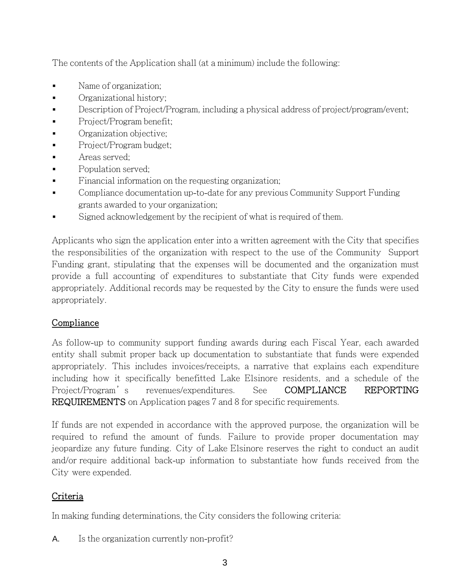The contents of the Application shall (at a minimum) include the following:

- Name of organization;
- Organizational history;
- Description of Project/Program, including a physical address of project/program/event;
- Project/Program benefit;
- Organization objective;
- Project/Program budget;
- Areas served;
- Population served;
- Financial information on the requesting organization;
- Compliance documentation up-to-date for any previous Community Support Funding grants awarded to your organization;
- Signed acknowledgement by the recipient of what is required of them.

Applicants who sign the application enter into a written agreement with the City that specifies the responsibilities of the organization with respect to the use of the Community Support Funding grant, stipulating that the expenses will be documented and the organization must provide a full accounting of expenditures to substantiate that City funds were expended appropriately. Additional records may be requested by the City to ensure the funds were used appropriately.

#### **Compliance**

As follow-up to community support funding awards during each Fiscal Year, each awarded entity shall submit proper back up documentation to substantiate that funds were expended appropriately. This includes invoices/receipts, a narrative that explains each expenditure including how it specifically benefitted Lake Elsinore residents, and a schedule of the Project/Program's revenues/expenditures. See COMPLIANCE REPORTING REQUIREMENTS on Application pages 7 and 8 for specific requirements.

If funds are not expended in accordance with the approved purpose, the organization will be required to refund the amount of funds. Failure to provide proper documentation may jeopardize any future funding. City of Lake Elsinore reserves the right to conduct an audit and/or require additional back-up information to substantiate how funds received from the City were expended.

#### Criteria

In making funding determinations, the City considers the following criteria:

A. Is the organization currently non-profit?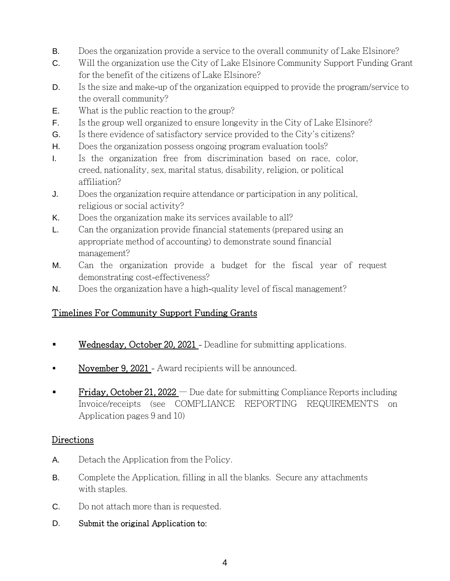- B. Does the organization provide a service to the overall community of Lake Elsinore?
- C. Will the organization use the City of Lake Elsinore Community Support Funding Grant for the benefit of the citizens of Lake Elsinore?
- D. Is the size and make-up of the organization equipped to provide the program/service to the overall community?
- E. What is the public reaction to the group?
- F. Is the group well organized to ensure longevity in the City of Lake Elsinore?
- G. Is there evidence of satisfactory service provided to the City's citizens?
- H. Does the organization possess ongoing program evaluation tools?
- I. Is the organization free from discrimination based on race, color, creed, nationality, sex, marital status, disability, religion, or political affiliation?
- J. Does the organization require attendance or participation in any political, religious or social activity?
- K. Does the organization make its services available to all?
- L. Can the organization provide financial statements (prepared using an appropriate method of accounting) to demonstrate sound financial management?
- M. Can the organization provide a budget for the fiscal year of request demonstrating cost-effectiveness?
- N. Does the organization have a high-quality level of fiscal management?

#### Timelines For Community Support Funding Grants

- Wednesday, October 20, 2021 Deadline for submitting applications.
- November 9, 2021 Award recipients will be announced.
- **Friday, October 21, 2022** Due date for submitting Compliance Reports including Invoice/receipts (see COMPLIANCE REPORTING REQUIREMENTS on Application pages 9 and 10)

#### Directions

- A. Detach the Application from the Policy.
- B. Complete the Application, filling in all the blanks. Secure any attachments with staples.
- C. Do not attach more than is requested.
- D. Submit the original Application to: